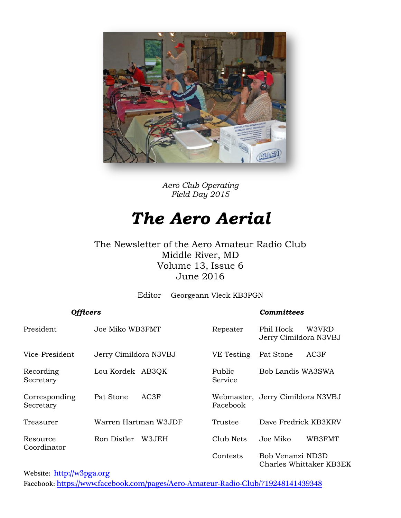

*Aero Club Operating Field Day 2015*

## *The Aero Aerial*

#### The Newsletter of the Aero Amateur Radio Club Middle River, MD Volume 13, Issue 6 June 2016

Editor Georgeann Vleck KB3PGN

| <b>Officers</b>            |                       |        | <b>Committees</b> |                                    |                         |  |  |
|----------------------------|-----------------------|--------|-------------------|------------------------------------|-------------------------|--|--|
| President                  | Joe Miko WB3FMT       |        | Repeater          | Phil Hock<br>Jerry Cimildora N3VBJ | W3VRD                   |  |  |
| Vice-President             | Jerry Cimildora N3VBJ |        | VE Testing        | Pat Stone                          | AC3F                    |  |  |
| Recording<br>Secretary     | Lou Kordek AB3QK      |        | Public<br>Service | Bob Landis WA3SWA                  |                         |  |  |
| Corresponding<br>Secretary | Pat Stone             | AC3F   | Facebook          | Webmaster, Jerry Cimildora N3VBJ   |                         |  |  |
| Treasurer                  | Warren Hartman W3JDF  |        | Trustee           | Dave Fredrick KB3KRV               |                         |  |  |
| Resource                   | Ron Distler           | W3.JEH | Club Nets         | Joe Miko                           | WB3FMT                  |  |  |
| Coordinator                |                       |        | Contests          | Bob Venanzi ND3D                   | Charles Whittaker KB3EK |  |  |

Website: [http://w](http://home.comcast.net/~frank-stone/Aero%20ARC/aero.htm)3pga.org

Facebook: <https://www.facebook.com/pages/Aero-Amateur-Radio-Club/719248141439348>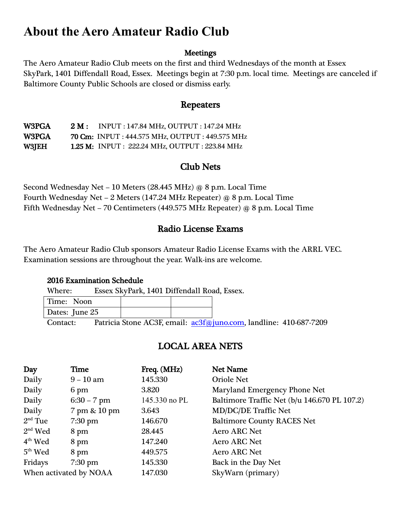## **About the Aero Amateur Radio Club**

#### Meetings

The Aero Amateur Radio Club meets on the first and third Wednesdays of the month at Essex SkyPark, 1401 Diffendall Road, Essex. Meetings begin at 7:30 p.m. local time. Meetings are canceled if Baltimore County Public Schools are closed or dismiss early.

#### Repeaters

W3PGA 2 M: INPUT: 147.84 MHz, OUTPUT: 147.24 MHz W3PGA 70 Cm: INPUT : 444.575 MHz, OUTPUT : 449.575 MHz W3JEH 1.25 M: INPUT : 222.24 MHz, OUTPUT : 223.84 MHz

#### Club Nets

Second Wednesday Net – 10 Meters (28.445 MHz) @ 8 p.m. Local Time Fourth Wednesday Net – 2 Meters (147.24 MHz Repeater) @ 8 p.m. Local Time Fifth Wednesday Net – 70 Centimeters (449.575 MHz Repeater) @ 8 p.m. Local Time

#### Radio License Exams

The Aero Amateur Radio Club sponsors Amateur Radio License Exams with the ARRL VEC. Examination sessions are throughout the year. Walk-ins are welcome.

#### 2016 Examination Schedule

Where: Essex SkyPark, 1401 Diffendall Road, Essex.

| Time: Noon<br>Dates: June 25 | $\sim$<br>$\sim$ |  | $\sim$ $\sim$ $\sim$ | $\cdot$ $\cdot$ | $\sim$ $\sim$ $\sim$ |  | . | $\sim$ $\sim$ $\sim$ $\sim$ |
|------------------------------|------------------|--|----------------------|-----------------|----------------------|--|---|-----------------------------|
|                              |                  |  |                      |                 |                      |  |   |                             |
|                              |                  |  |                      |                 |                      |  |   |                             |

Contact: Patricia Stone AC3F, email:  $a c3f$ (@juno.com, landline: 410-687-7209

### LOCAL AREA NETS

| Day                    | Time              | Freq. (MHz)   | <b>Net Name</b>                              |
|------------------------|-------------------|---------------|----------------------------------------------|
| Daily                  | $9 - 10$ am       | 145.330       | <b>Oriole Net</b>                            |
| Daily                  | 6 pm              | 3.820         | Maryland Emergency Phone Net                 |
| Daily                  | $6:30 - 7$ pm     | 145.330 no PL | Baltimore Traffic Net (b/u 146.670 PL 107.2) |
| Daily                  | 7 pm & 10 pm      | 3.643         | <b>MD/DC/DE Traffic Net</b>                  |
| $2nd$ Tue              | $7:30 \text{ pm}$ | 146.670       | <b>Baltimore County RACES Net</b>            |
| $2nd$ Wed              | 8 pm              | 28.445        | <b>Aero ARC Net</b>                          |
| $4th$ Wed              | 8 pm              | 147.240       | <b>Aero ARC Net</b>                          |
| $5th$ Wed              | 8 pm              | 449.575       | <b>Aero ARC Net</b>                          |
| Fridays                | $7:30 \text{ pm}$ | 145.330       | Back in the Day Net                          |
| When activated by NOAA |                   | 147.030       | SkyWarn (primary)                            |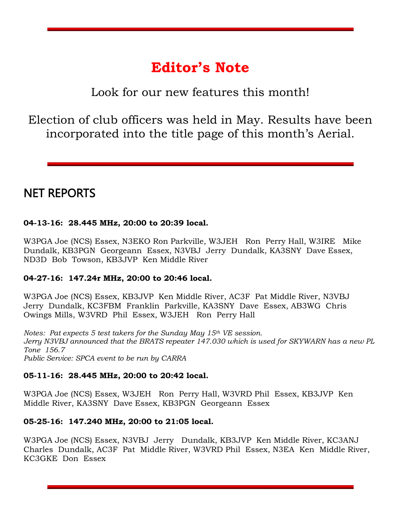## **Editor's Note**

Look for our new features this month!

Election of club officers was held in May. Results have been incorporated into the title page of this month's Aerial.

## NET REPORTS

#### **04-13-16: 28.445 MHz, 20:00 to 20:39 local.**

W3PGA Joe (NCS) Essex, N3EKO Ron Parkville, W3JEH Ron Perry Hall, W3IRE Mike Dundalk, KB3PGN Georgeann Essex, N3VBJ Jerry Dundalk, KA3SNY Dave Essex, ND3D Bob Towson, KB3JVP Ken Middle River

#### **04-27-16: 147.24r MHz, 20:00 to 20:46 local.**

W3PGA Joe (NCS) Essex, KB3JVP Ken Middle River, AC3F Pat Middle River, N3VBJ Jerry Dundalk, KC3FBM Franklin Parkville, KA3SNY Dave Essex, AB3WG Chris Owings Mills, W3VRD Phil Essex, W3JEH Ron Perry Hall

*Notes: Pat expects 5 test takers for the Sunday May 15th VE session. Jerry N3VBJ announced that the BRATS repeater 147.030 which is used for SKYWARN has a new PL Tone 156.7 Public Service: SPCA event to be run by CARRA* 

#### **05-11-16: 28.445 MHz, 20:00 to 20:42 local.**

W3PGA Joe (NCS) Essex, W3JEH Ron Perry Hall, W3VRD Phil Essex, KB3JVP Ken Middle River, KA3SNY Dave Essex, KB3PGN Georgeann Essex

#### **05-25-16: 147.240 MHz, 20:00 to 21:05 local.**

W3PGA Joe (NCS) Essex, N3VBJ Jerry Dundalk, KB3JVP Ken Middle River, KC3ANJ Charles Dundalk, AC3F Pat Middle River, W3VRD Phil Essex, N3EA Ken Middle River, KC3GKE Don Essex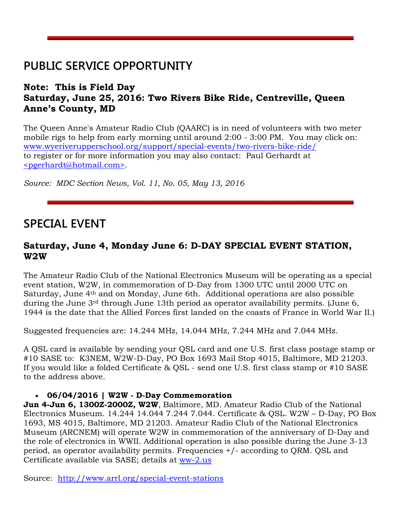## **PUBLIC SERVICE OPPORTUNITY**

#### **Note: This is Field Day Saturday, June 25, 2016: Two Rivers Bike Ride, Centreville, Queen Anne's County, MD**

The Queen Anne's Amateur Radio Club (QAARC) is in need of volunteers with two meter mobile rigs to help from early morning until around 2:00 - 3:00 PM. You may click on: [www.wyeriverupperschool.org/support/special-events/two-rivers-bike-ride/](http://www.wyeriverupperschool.org/support/special-events/two-rivers-bike-ride/) to register or for more information you may also contact: Paul Gerhardt at [<pgerhardt@hotmail.com>.](mailto:pgerhardt@hotmail.com)

*Source: MDC Section News, Vol. 11, No. 05, May 13, 2016*

## **SPECIAL EVENT**

#### **Saturday, June 4, Monday June 6: D-DAY SPECIAL EVENT STATION, W2W**

The Amateur Radio Club of the National Electronics Museum will be operating as a special event station, W2W, in commemoration of D-Day from 1300 UTC until 2000 UTC on Saturday, June 4th and on Monday, June 6th. Additional operations are also possible during the June 3rd through June 13th period as operator availability permits. (June 6, 1944 is the date that the Allied Forces first landed on the coasts of France in World War II.)

Suggested frequencies are: 14.244 MHz, 14.044 MHz, 7.244 MHz and 7.044 MHz.

A QSL card is available by sending your QSL card and one U.S. first class postage stamp or #10 SASE to: K3NEM, W2W-D-Day, PO Box 1693 Mail Stop 4015, Baltimore, MD 21203. If you would like a folded Certificate & QSL - send one U.S. first class stamp or #10 SASE to the address above.

#### **06/04/2016 | W2W - D-Day Commemoration**

**Jun 4-Jun 6, 1300Z-2000Z, W2W**, Baltimore, MD. Amateur Radio Club of the National Electronics Museum. 14.244 14.044 7.244 7.044. Certificate & QSL. W2W – D-Day, PO Box 1693, MS 4015, Baltimore, MD 21203. Amateur Radio Club of the National Electronics Museum (ARCNEM) will operate W2W in commemoration of the anniversary of D-Day and the role of electronics in WWII. Additional operation is also possible during the June 3-13 period, as operator availability permits. Frequencies +/- according to QRM. QSL and Certificate available via SASE; details at [ww-2.us](http://ww-2.us/)

Source: <http://www.arrl.org/special-event-stations>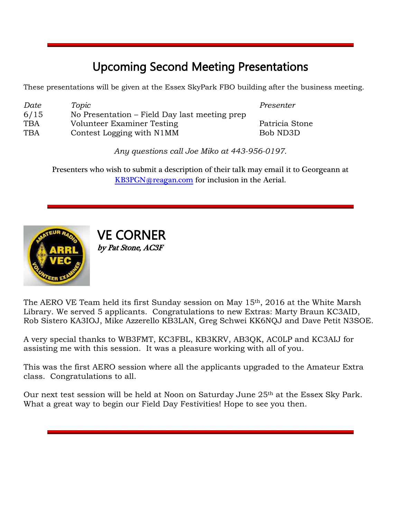## Upcoming Second Meeting Presentations

These presentations will be given at the Essex SkyPark FBO building after the business meeting.

| Date       | Topic                                         |
|------------|-----------------------------------------------|
| 6/15       | No Presentation – Field Day last meeting prep |
| <b>TBA</b> | Volunteer Examiner Testing                    |
| <b>TBA</b> | Contest Logging with N1MM                     |

*Presenter* 

Patricia Stone Bob ND3D

*Any questions call Joe Miko at 443-956-0197.*

Presenters who wish to submit a description of their talk may email it to Georgeann at [KB3PGN@reagan.com](mailto:KB3PGN@reagan.com) for inclusion in the Aerial.



VE CORNER by Pat Stone, AC3F

The AERO VE Team held its first Sunday session on May 15<sup>th</sup>, 2016 at the White Marsh Library. We served 5 applicants. Congratulations to new Extras: Marty Braun KC3AID, Rob Sistero KA3IOJ, Mike Azzerello KB3LAN, Greg Schwei KK6NQJ and Dave Petit N3SOE.

A very special thanks to WB3FMT, KC3FBL, KB3KRV, AB3QK, AC0LP and KC3AIJ for assisting me with this session. It was a pleasure working with all of you.

This was the first AERO session where all the applicants upgraded to the Amateur Extra class. Congratulations to all.

Our next test session will be held at Noon on Saturday June 25<sup>th</sup> at the Essex Sky Park. What a great way to begin our Field Day Festivities! Hope to see you then.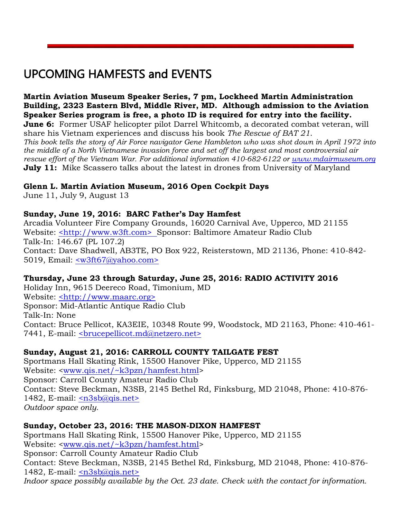## UPCOMING HAMFESTS and EVENTS

**Martin Aviation Museum Speaker Series, 7 pm, Lockheed Martin Administration Building, 2323 Eastern Blvd, Middle River, MD. Although admission to the Aviation Speaker Series program is free, a photo ID is required for entry into the facility. June 6:** Former USAF helicopter pilot Darrel Whitcomb, a decorated combat veteran, will share his Vietnam experiences and discuss his book *The Rescue of BAT 21*. *This book tells the story of Air Force navigator Gene Hambleton who was shot down in April 1972 into the middle of a North Vietnamese invasion force and set off the largest and most controversial air rescue effort of the Vietnam War. For additional information 410-682-6122 or [www.mdairmuseum.org](https://urldefense.proofpoint.com/v2/url?u=http-3A__www.mdairmuseum.org_&d=CwMFaQ&c=Gp5PoQfTj9yjDt8XV2x6aql0UnCZXhNkdBYbfDClWas&r=Q9w8tJnxAnlSsZJAezn5RBhYASnGUN_JQFwFJO0d1v5a2CwHkUUhJaxzqDwswvXW&m=NwA1jtztn9aC4mnfiLC8EPvsgK02bQL1vg-KdOsSKtE&s=9mGhF4D87nVAwsZ1ySYHIwzwz0Mg1SR_O90N-JUGBw0&e=)* **July 11:** Mike Scassero talks about the latest in drones from University of Maryland

#### **Glenn L. Martin Aviation Museum, 2016 Open Cockpit Days**

June 11, July 9, August 13

#### **Sunday, June 19, 2016: BARC Father's Day Hamfest**

Arcadia Volunteer Fire Company Grounds, 16020 Carnival Ave, Upperco, MD 21155 Website: [<http://www.w3ft.com>](http://www.w3ft.com/) Sponsor: Baltimore Amateur Radio Club Talk-In: 146.67 (PL 107.2) Contact: Dave Shadwell, AB3TE, PO Box 922, Reisterstown, MD 21136, Phone: 410-842- 5019, Email: [<w3ft67@yahoo.com>](mailto:w3ft67@yahoo.com)

#### **Thursday, June 23 through Saturday, June 25, 2016: RADIO ACTIVITY 2016**

Holiday Inn, 9615 Deereco Road, Timonium, MD Website: [<http://www.maarc.org>](http://www.maarc.org/) Sponsor: Mid-Atlantic Antique Radio Club Talk-In: None Contact: Bruce Pellicot, KA3EIE, 10348 Route 99, Woodstock, MD 21163, Phone: 410-461- 7441, E-mail: [<brucepellicot.md@netzero.net>](mailto:brucepellicot.md@netzero.net)

#### **Sunday, August 21, 2016: CARROLL COUNTY TAILGATE FEST**

Sportmans Hall Skating Rink, 15500 Hanover Pike, Upperco, MD 21155 Website: [<www.qis.net/~k3pzn/hamfest.html>](http://www.qis.net/~k3pzn/hamfest.html) Sponsor: Carroll County Amateur Radio Club Contact: Steve Beckman, N3SB, 2145 Bethel Rd, Finksburg, MD 21048, Phone: 410-876- 1482, E-mail: [<n3sb@qis.net>](mailto:n3sb@qis.net) *Outdoor space only.*

#### **Sunday, October 23, 2016: THE MASON-DIXON HAMFEST**

Sportmans Hall Skating Rink, 15500 Hanover Pike, Upperco, MD 21155 Website: [<www.qis.net/~k3pzn/hamfest.html>](http://www.qis.net/~k3pzn/hamfest.html) Sponsor: Carroll County Amateur Radio Club Contact: Steve Beckman, N3SB, 2145 Bethel Rd, Finksburg, MD 21048, Phone: 410-876- 1482, E-mail: [<n3sb@qis.net>](mailto:n3sb@qis.net) *Indoor space possibly available by the Oct. 23 date. Check with the contact for information.*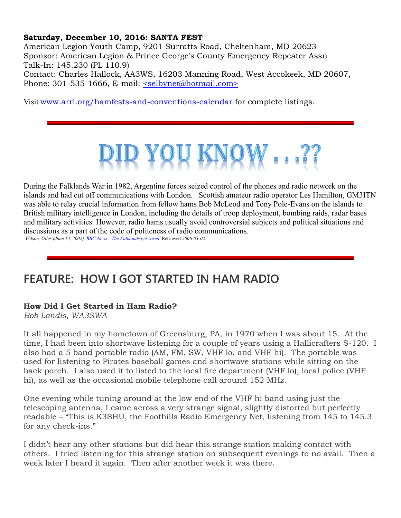#### **Saturday, December 10, 2016: SANTA FEST**

American Legion Youth Camp, 9201 Surratts Road, Cheltenham, MD 20623 Sponsor: American Legion & Prince George's County Emergency Repeater Assn Talk-In: 145.230 (PL 110.9) Contact: Charles Hallock, AA3WS, 16203 Manning Road, West Accokeek, MD 20607,

Phone: 301-535-1666, E-mail: [<selbynet@hotmail.com>](mailto:selbynet@hotmail.com)

Visit [www.arrl.org/hamfests-and-conventions-calendar](http://www.arrl.org/hamfests-and-conventions-calendar) for complete listings.



During the [Falklands War](https://en.wikipedia.org/wiki/Falklands_War) in 1982[, Argentine](https://en.wikipedia.org/wiki/Argentina) forces seized control of the phones and radio network on the islands and had cut off communications with [London.](https://en.wikipedia.org/wiki/London) [Scottish](https://en.wikipedia.org/wiki/Scotland) amateur radio operator [Les Hamilton,](https://en.wikipedia.org/w/index.php?title=Les_Hamilton&action=edit&redlink=1) GM3ITN was able to relay crucial information from fellow hams Bob McLeod and [Tony Pole-Evans](https://en.wikipedia.org/w/index.php?title=Tony_Pole-Evans&action=edit&redlink=1) on the islands to [British military intelligence](https://en.wikipedia.org/wiki/UK_Joint_Intelligence_Committee) in London, including the details of troop deployment, bombing raids, radar bases and [military](https://en.wikipedia.org/wiki/Military) activities. However, radio hams usually avoid controversial subjects and political situations and discussions as a part of the code of politeness of radio communications.

*Wilson, Giles (June 13, 2002). "BBC News - [The Falklands get wired"](http://news.bbc.co.uk/1/hi/uk/2042375.stm)*. Retrieved *2006-03-02.*

## **FEATURE: HOW I GOT STARTED IN HAM RADIO**

#### **How Did I Get Started in Ham Radio?**

*Bob Landis, WA3SWA*

It all happened in my hometown of Greensburg, PA, in 1970 when I was about 15. At the time, I had been into shortwave listening for a couple of years using a Hallicrafters S-120. I also had a 5 band portable radio (AM, FM, SW, VHF lo, and VHF hi). The portable was used for listening to Pirates baseball games and shortwave stations while sitting on the back porch. I also used it to listed to the local fire department (VHF lo), local police (VHF hi), as well as the occasional mobile telephone call around 152 MHz.

One evening while tuning around at the low end of the VHF hi band using just the telescoping antenna, I came across a very strange signal, slightly distorted but perfectly readable – "This is K3SHU, the Foothills Radio Emergency Net, listening from 145 to 145.3 for any check-ins."

I didn't hear any other stations but did hear this strange station making contact with others. I tried listening for this strange station on subsequent evenings to no avail. Then a week later I heard it again. Then after another week it was there.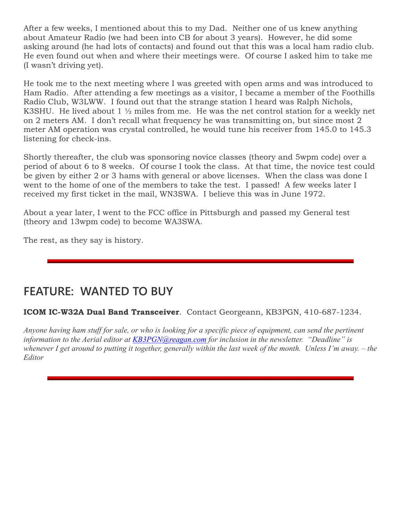After a few weeks, I mentioned about this to my Dad. Neither one of us knew anything about Amateur Radio (we had been into CB for about 3 years). However, he did some asking around (he had lots of contacts) and found out that this was a local ham radio club. He even found out when and where their meetings were. Of course I asked him to take me (I wasn't driving yet).

He took me to the next meeting where I was greeted with open arms and was introduced to Ham Radio. After attending a few meetings as a visitor, I became a member of the Foothills Radio Club, W3LWW. I found out that the strange station I heard was Ralph Nichols, K3SHU. He lived about  $1\frac{1}{2}$  miles from me. He was the net control station for a weekly net on 2 meters AM. I don't recall what frequency he was transmitting on, but since most 2 meter AM operation was crystal controlled, he would tune his receiver from 145.0 to 145.3 listening for check-ins.

Shortly thereafter, the club was sponsoring novice classes (theory and 5wpm code) over a period of about 6 to 8 weeks. Of course I took the class. At that time, the novice test could be given by either 2 or 3 hams with general or above licenses. When the class was done I went to the home of one of the members to take the test. I passed! A few weeks later I received my first ticket in the mail, WN3SWA. I believe this was in June 1972.

About a year later, I went to the FCC office in Pittsburgh and passed my General test (theory and 13wpm code) to become WA3SWA.

The rest, as they say is history.

## **FEATURE: WANTED TO BUY**

**ICOM IC-W32A Dual Band Transceiver**. Contact Georgeann, KB3PGN, 410-687-1234.

*Anyone having ham stuff for sale, or who is looking for a specific piece of equipment, can send the pertinent information to the Aerial editor at [KB3PGN@reagan.com](mailto:KB3PGN@reagan.com) for inclusion in the newsletter. "Deadline" is whenever I get around to putting it together, generally within the last week of the month. Unless I'm away. – the Editor*